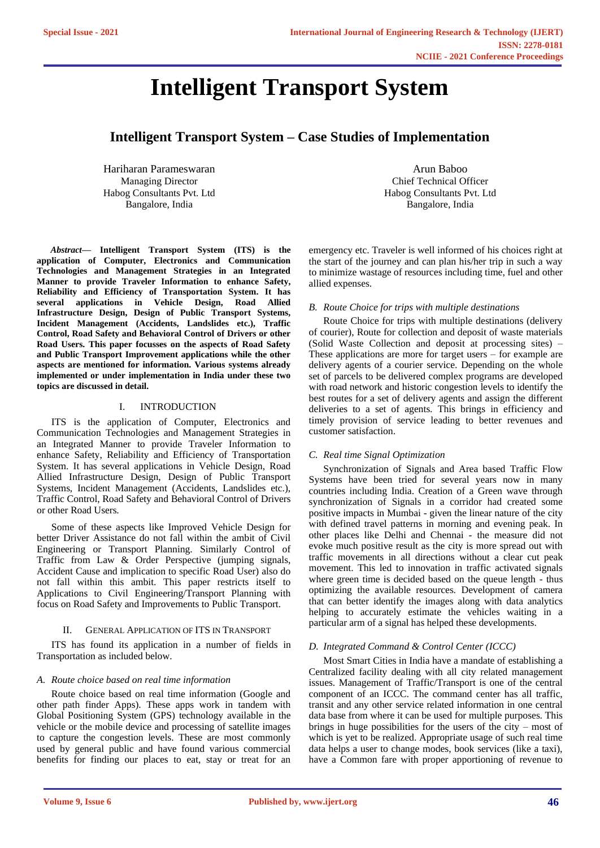# **Intelligent Transport System**

# **Intelligent Transport System – Case Studies of Implementation**

Hariharan Parameswaran Managing Director Habog Consultants Pvt. Ltd Bangalore, India

*Abstract***— Intelligent Transport System (ITS) is the application of Computer, Electronics and Communication Technologies and Management Strategies in an Integrated Manner to provide Traveler Information to enhance Safety, Reliability and Efficiency of Transportation System. It has several applications in Vehicle Design, Road Allied Infrastructure Design, Design of Public Transport Systems, Incident Management (Accidents, Landslides etc.), Traffic Control, Road Safety and Behavioral Control of Drivers or other Road Users. This paper focusses on the aspects of Road Safety and Public Transport Improvement applications while the other aspects are mentioned for information. Various systems already implemented or under implementation in India under these two topics are discussed in detail.**

# I. INTRODUCTION

ITS is the application of Computer, Electronics and Communication Technologies and Management Strategies in an Integrated Manner to provide Traveler Information to enhance Safety, Reliability and Efficiency of Transportation System. It has several applications in Vehicle Design, Road Allied Infrastructure Design, Design of Public Transport Systems, Incident Management (Accidents, Landslides etc.), Traffic Control, Road Safety and Behavioral Control of Drivers or other Road Users.

Some of these aspects like Improved Vehicle Design for better Driver Assistance do not fall within the ambit of Civil Engineering or Transport Planning. Similarly Control of Traffic from Law & Order Perspective (jumping signals, Accident Cause and implication to specific Road User) also do not fall within this ambit. This paper restricts itself to Applications to Civil Engineering/Transport Planning with focus on Road Safety and Improvements to Public Transport.

# GENERAL APPLICATION OF ITS IN TRANSPORT

ITS has found its application in a number of fields in Transportation as included below.

# *A. Route choice based on real time information*

Route choice based on real time information (Google and other path finder Apps). These apps work in tandem with Global Positioning System (GPS) technology available in the vehicle or the mobile device and processing of satellite images to capture the congestion levels. These are most commonly used by general public and have found various commercial benefits for finding our places to eat, stay or treat for an

Arun Baboo Chief Technical Officer Habog Consultants Pvt. Ltd Bangalore, India

emergency etc. Traveler is well informed of his choices right at the start of the journey and can plan his/her trip in such a way to minimize wastage of resources including time, fuel and other allied expenses.

# *B. Route Choice for trips with multiple destinations*

Route Choice for trips with multiple destinations (delivery of courier), Route for collection and deposit of waste materials (Solid Waste Collection and deposit at processing sites) – These applications are more for target users – for example are delivery agents of a courier service. Depending on the whole set of parcels to be delivered complex programs are developed with road network and historic congestion levels to identify the best routes for a set of delivery agents and assign the different deliveries to a set of agents. This brings in efficiency and timely provision of service leading to better revenues and customer satisfaction.

# *C. Real time Signal Optimization*

Synchronization of Signals and Area based Traffic Flow Systems have been tried for several years now in many countries including India. Creation of a Green wave through synchronization of Signals in a corridor had created some positive impacts in Mumbai - given the linear nature of the city with defined travel patterns in morning and evening peak. In other places like Delhi and Chennai - the measure did not evoke much positive result as the city is more spread out with traffic movements in all directions without a clear cut peak movement. This led to innovation in traffic activated signals where green time is decided based on the queue length - thus optimizing the available resources. Development of camera that can better identify the images along with data analytics helping to accurately estimate the vehicles waiting in a particular arm of a signal has helped these developments.

# *D. Integrated Command & Control Center (ICCC)*

Most Smart Cities in India have a mandate of establishing a Centralized facility dealing with all city related management issues. Management of Traffic/Transport is one of the central component of an ICCC. The command center has all traffic, transit and any other service related information in one central data base from where it can be used for multiple purposes. This brings in huge possibilities for the users of the city – most of which is yet to be realized. Appropriate usage of such real time data helps a user to change modes, book services (like a taxi), have a Common fare with proper apportioning of revenue to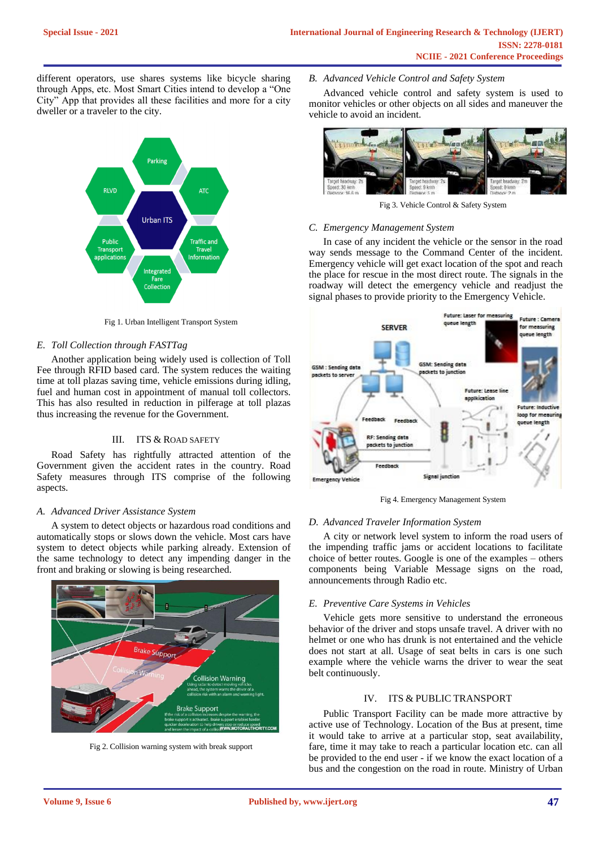different operators, use shares systems like bicycle sharing through Apps, etc. Most Smart Cities intend to develop a "One City" App that provides all these facilities and more for a city dweller or a traveler to the city.



Fig 1. Urban Intelligent Transport System

# *E. Toll Collection through FASTTag*

Another application being widely used is collection of Toll Fee through RFID based card. The system reduces the waiting time at toll plazas saving time, vehicle emissions during idling, fuel and human cost in appointment of manual toll collectors. This has also resulted in reduction in pilferage at toll plazas thus increasing the revenue for the Government.

# III. ITS & ROAD SAFETY

Road Safety has rightfully attracted attention of the Government given the accident rates in the country. Road Safety measures through ITS comprise of the following aspects.

# *A. Advanced Driver Assistance System*

A system to detect objects or hazardous road conditions and automatically stops or slows down the vehicle. Most cars have system to detect objects while parking already. Extension of the same technology to detect any impending danger in the front and braking or slowing is being researched.



Fig 2. Collision warning system with break support

# *B. Advanced Vehicle Control and Safety System*

Advanced vehicle control and safety system is used to monitor vehicles or other objects on all sides and maneuver the vehicle to avoid an incident.



Fig 3. Vehicle Control & Safety System

#### *C. Emergency Management System*

In case of any incident the vehicle or the sensor in the road way sends message to the Command Center of the incident. Emergency vehicle will get exact location of the spot and reach the place for rescue in the most direct route. The signals in the roadway will detect the emergency vehicle and readjust the signal phases to provide priority to the Emergency Vehicle.



Fig 4. Emergency Management System

#### *D. Advanced Traveler Information System*

A city or network level system to inform the road users of the impending traffic jams or accident locations to facilitate choice of better routes. Google is one of the examples – others components being Variable Message signs on the road, announcements through Radio etc.

#### *E. Preventive Care Systems in Vehicles*

Vehicle gets more sensitive to understand the erroneous behavior of the driver and stops unsafe travel. A driver with no helmet or one who has drunk is not entertained and the vehicle does not start at all. Usage of seat belts in cars is one such example where the vehicle warns the driver to wear the seat belt continuously.

# IV. ITS & PUBLIC TRANSPORT

Public Transport Facility can be made more attractive by active use of Technology. Location of the Bus at present, time it would take to arrive at a particular stop, seat availability, fare, time it may take to reach a particular location etc. can all be provided to the end user - if we know the exact location of a bus and the congestion on the road in route. Ministry of Urban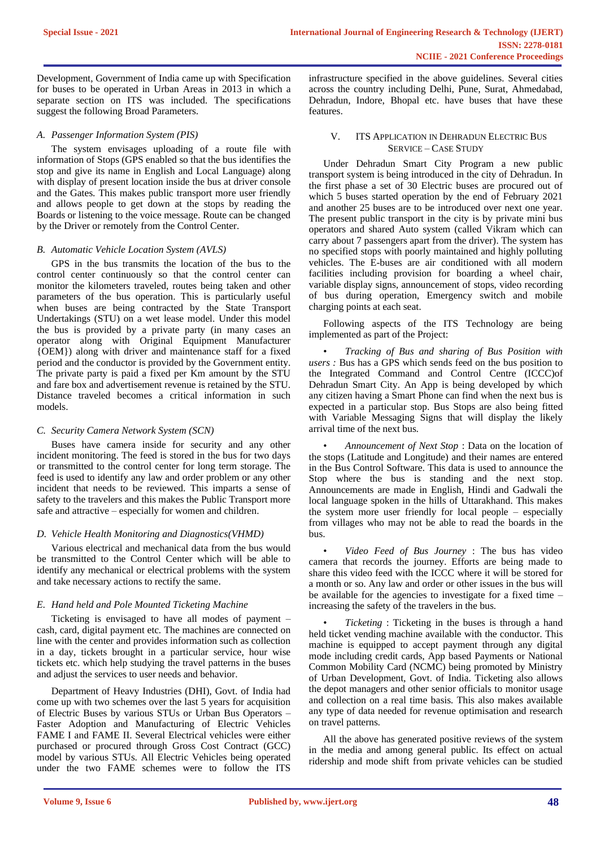Development, Government of India came up with Specification for buses to be operated in Urban Areas in 2013 in which a separate section on ITS was included. The specifications suggest the following Broad Parameters.

## *A. Passenger Information System (PIS)*

The system envisages uploading of a route file with information of Stops (GPS enabled so that the bus identifies the stop and give its name in English and Local Language) along with display of present location inside the bus at driver console and the Gates. This makes public transport more user friendly and allows people to get down at the stops by reading the Boards or listening to the voice message. Route can be changed by the Driver or remotely from the Control Center.

#### *B. Automatic Vehicle Location System (AVLS)*

GPS in the bus transmits the location of the bus to the control center continuously so that the control center can monitor the kilometers traveled, routes being taken and other parameters of the bus operation. This is particularly useful when buses are being contracted by the State Transport Undertakings (STU) on a wet lease model. Under this model the bus is provided by a private party (in many cases an operator along with Original Equipment Manufacturer {OEM}) along with driver and maintenance staff for a fixed period and the conductor is provided by the Government entity. The private party is paid a fixed per Km amount by the STU and fare box and advertisement revenue is retained by the STU. Distance traveled becomes a critical information in such models.

# *C. Security Camera Network System (SCN)*

Buses have camera inside for security and any other incident monitoring. The feed is stored in the bus for two days or transmitted to the control center for long term storage. The feed is used to identify any law and order problem or any other incident that needs to be reviewed. This imparts a sense of safety to the travelers and this makes the Public Transport more safe and attractive – especially for women and children.

# *D. Vehicle Health Monitoring and Diagnostics(VHMD)*

Various electrical and mechanical data from the bus would be transmitted to the Control Center which will be able to identify any mechanical or electrical problems with the system and take necessary actions to rectify the same.

# *E. Hand held and Pole Mounted Ticketing Machine*

Ticketing is envisaged to have all modes of payment – cash, card, digital payment etc. The machines are connected on line with the center and provides information such as collection in a day, tickets brought in a particular service, hour wise tickets etc. which help studying the travel patterns in the buses and adjust the services to user needs and behavior.

Department of Heavy Industries (DHI), Govt. of India had come up with two schemes over the last 5 years for acquisition of Electric Buses by various STUs or Urban Bus Operators – Faster Adoption and Manufacturing of Electric Vehicles FAME I and FAME II. Several Electrical vehicles were either purchased or procured through Gross Cost Contract (GCC) model by various STUs. All Electric Vehicles being operated under the two FAME schemes were to follow the ITS

infrastructure specified in the above guidelines. Several cities across the country including Delhi, Pune, Surat, Ahmedabad, Dehradun, Indore, Bhopal etc. have buses that have these features.

## V. ITS APPLICATION IN DEHRADUN ELECTRIC BUS SERVICE – CASE STUDY

Under Dehradun Smart City Program a new public transport system is being introduced in the city of Dehradun. In the first phase a set of 30 Electric buses are procured out of which 5 buses started operation by the end of February 2021 and another 25 buses are to be introduced over next one year. The present public transport in the city is by private mini bus operators and shared Auto system (called Vikram which can carry about 7 passengers apart from the driver). The system has no specified stops with poorly maintained and highly polluting vehicles. The E-buses are air conditioned with all modern facilities including provision for boarding a wheel chair, variable display signs, announcement of stops, video recording of bus during operation, Emergency switch and mobile charging points at each seat.

Following aspects of the ITS Technology are being implemented as part of the Project:

• *Tracking of Bus and sharing of Bus Position with users :* Bus has a GPS which sends feed on the bus position to the Integrated Command and Control Centre (ICCC)of Dehradun Smart City. An App is being developed by which any citizen having a Smart Phone can find when the next bus is expected in a particular stop. Bus Stops are also being fitted with Variable Messaging Signs that will display the likely arrival time of the next bus.

• *Announcement of Next Stop* : Data on the location of the stops (Latitude and Longitude) and their names are entered in the Bus Control Software. This data is used to announce the Stop where the bus is standing and the next stop. Announcements are made in English, Hindi and Gadwali the local language spoken in the hills of Uttarakhand. This makes the system more user friendly for local people – especially from villages who may not be able to read the boards in the bus.

• *Video Feed of Bus Journey* : The bus has video camera that records the journey. Efforts are being made to share this video feed with the ICCC where it will be stored for a month or so. Any law and order or other issues in the bus will be available for the agencies to investigate for a fixed time – increasing the safety of the travelers in the bus.

• *Ticketing* : Ticketing in the buses is through a hand held ticket vending machine available with the conductor. This machine is equipped to accept payment through any digital mode including credit cards, App based Payments or National Common Mobility Card (NCMC) being promoted by Ministry of Urban Development, Govt. of India. Ticketing also allows the depot managers and other senior officials to monitor usage and collection on a real time basis. This also makes available any type of data needed for revenue optimisation and research on travel patterns.

All the above has generated positive reviews of the system in the media and among general public. Its effect on actual ridership and mode shift from private vehicles can be studied